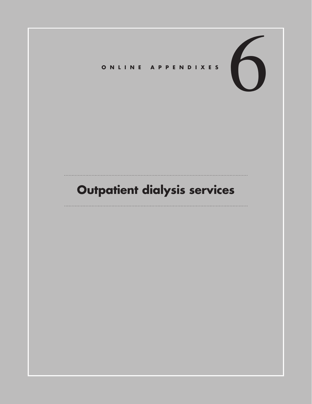# 6 **Online Appendixes**

# **Outpatient dialysis services**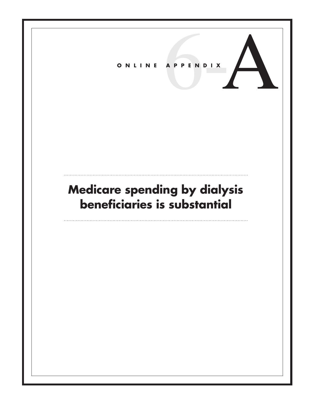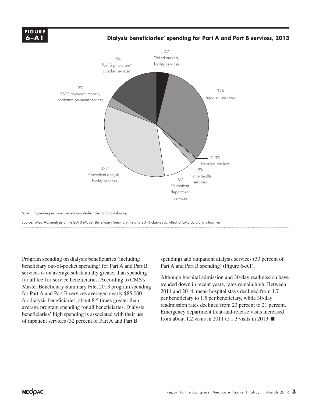

Source: MedPAC analysis of the 2013 Master Beneficiary Summary file and 2013 claims submitted to CMS by dialysis facilities. Source:

Program spending on dialysis beneficiaries (including beneficiary out-of-pocket spending) for Part A and Part B services is on average substantially greater than spending for all fee-for-service beneficiaries. According to CMS's Master Beneficiary Summary File, 2013 program spending for Part A and Part B services averaged nearly \$85,000 for dialysis beneficiaries, about 8.5 times greater than average program spending for all beneficiaries. Dialysis beneficiaries' high spending is associated with their use of inpatient services (32 percent of Part A and Part B

spending) and outpatient dialysis services (33 percent of Part A and Part B spending) (Figure 6-A1).

Although hospital admission and 30-day readmission have trended down in recent years, rates remain high. Between 2011 and 2014, mean hospital stays declined from 1.7 per beneficiary to 1.5 per beneficiary, while 30-day readmission rates declined from 23 percent to 21 percent. Emergency department treat-and-release visits increased from about 1.2 visits in 2011 to 1.3 visits in 2013.  $\blacksquare$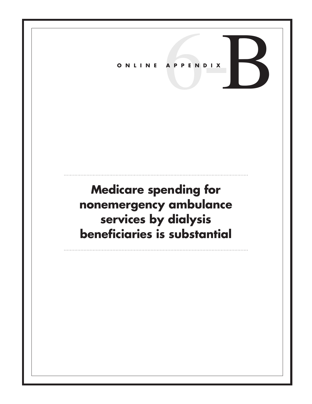## **Medicare spending for nonemergency ambulance services by dialysis beneficiaries is substantial**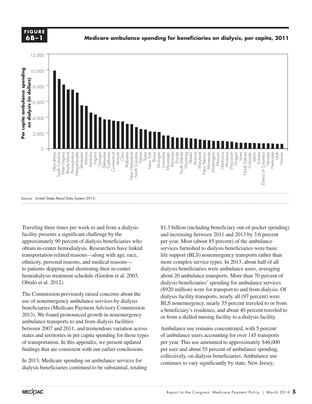

### **Medicare ambulance spending for beneficiaries on dialysis, per capita, 2011 Cumulative change.... FIGURE**



Traveling three times per week to and from a dialysis facility presents a significant challenge by the approximately 90 percent of dialysis beneficiaries who obtain in-center hemodialysis. Researchers have linked transportation-related reasons—along with age, race, ethnicity, personal reasons, and medical reasons to patients skipping and shortening their in-center hemodialysis treatment schedule (Gordon et al. 2003, Obialo et al. 2012).

The Commission previously raised concerns about the use of nonemergency ambulance services by dialysis beneficiaries (Medicare Payment Advisory Commission 2013). We found pronounced growth in nonemergency ambulance transports to and from dialysis facilities between 2007 and 2011, and tremendous variation across states and territories in per capita spending for those types of transportation. In this appendix, we present updated findings that are consistent with our earlier conclusions.

In 2013, Medicare spending on ambulance services for dialysis beneficiaries continued to be substantial, totaling

\$1.3 billion (including beneficiary out-of-pocket spending) and increasing between 2011 and 2013 by 3.6 percent per year. Most (about 85 percent) of the ambulance services furnished to dialysis beneficiaries were basic life support (BLS) nonemergency transports rather than more complex service types. In 2013, about half of all dialysis beneficiaries were ambulance users, averaging about 20 ambulance transports. More than 70 percent of dialysis beneficiaries' spending for ambulance services (\$920 million) were for transport to and from dialysis. Of dialysis facility transports, nearly all (97 percent) were BLS nonemergency, nearly 55 percent traveled to or from a beneficiary's residence, and about 40 percent traveled to or from a skilled nursing facility to a dialysis facility.

Ambulance use remains concentrated, with 5 percent of ambulance users accounting for over 145 transports per year. This use amounted to approximately \$46,000 per user and about 55 percent of ambulance spending, collectively, on dialysis beneficiaries. Ambulance use continues to vary significantly by state; New Jersey,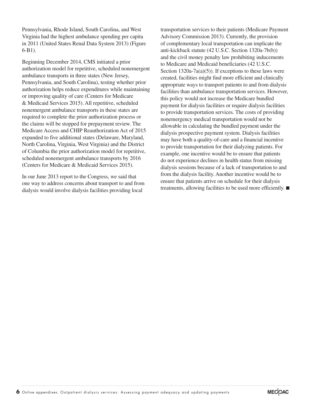Pennsylvania, Rhode Island, South Carolina, and West Virginia had the highest ambulance spending per capita in 2011 (United States Renal Data System 2013) (Figure 6-B1).

Beginning December 2014, CMS initiated a prior authorization model for repetitive, scheduled nonemergent ambulance transports in three states (New Jersey, Pennsylvania, and South Carolina), testing whether prior authorization helps reduce expenditures while maintaining or improving quality of care (Centers for Medicare & Medicaid Services 2015). All repetitive, scheduled nonemergent ambulance transports in these states are required to complete the prior authorization process or the claims will be stopped for prepayment review. The Medicare Access and CHIP Reauthorization Act of 2015 expanded to five additional states (Delaware, Maryland, North Carolina, Virginia, West Virginia) and the District of Columbia the prior authorization model for repetitive, scheduled nonemergent ambulance transports by 2016 (Centers for Medicare & Medicaid Services 2015).

In our June 2013 report to the Congress, we said that one way to address concerns about transport to and from dialysis would involve dialysis facilities providing local

transportation services to their patients (Medicare Payment Advisory Commission 2013). Currently, the provision of complementary local transportation can implicate the anti-kickback statute (42 U.S.C. Section 1320a-7b(b)) and the civil money penalty law prohibiting inducements to Medicare and Medicaid beneficiaries (42 U.S.C. Section  $1320a-7a(a)(5)$ . If exceptions to these laws were created, facilities might find more efficient and clinically appropriate ways to transport patients to and from dialysis facilities than ambulance transportation services. However, this policy would not increase the Medicare bundled payment for dialysis facilities or require dialysis facilities to provide transportation services. The costs of providing nonemergency medical transportation would not be allowable in calculating the bundled payment under the dialysis prospective payment system. Dialysis facilities may have both a quality-of-care and a financial incentive to provide transportation for their dialyzing patients. For example, one incentive would be to ensure that patients do not experience declines in health status from missing dialysis sessions because of a lack of transportation to and from the dialysis facility. Another incentive would be to ensure that patients arrive on schedule for their dialysis treatments, allowing facilities to be used more efficiently. ■